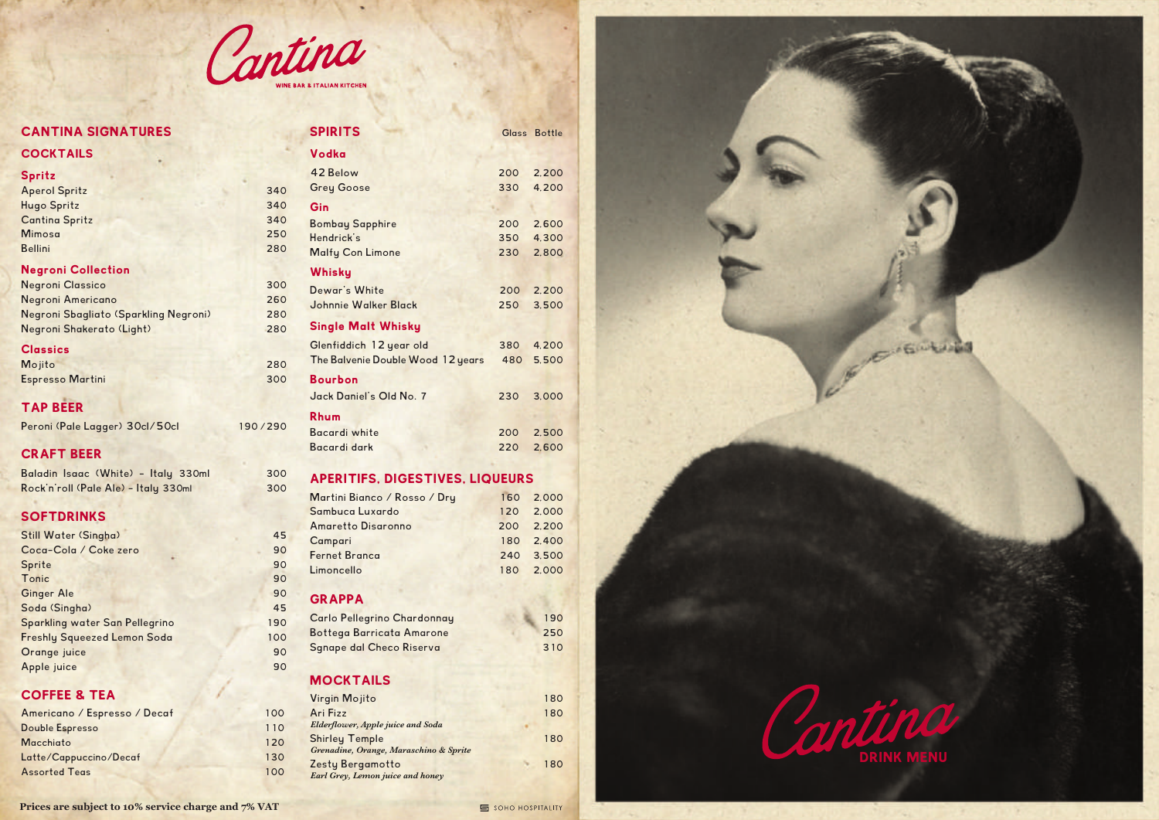

# CANTINA SIGNATURES

| <b>COCKTAILS</b> |  |
|------------------|--|
|                  |  |

| <b>Spritz</b>             |     |
|---------------------------|-----|
| <b>Aperol Spritz</b>      | 340 |
| <b>Hugo Spritz</b>        | 340 |
| <b>Cantina Spritz</b>     | 340 |
| <b>Mimosa</b>             | 250 |
| <b>Bellini</b>            | 280 |
| <b>Negroni Collection</b> |     |

| <b>Negroni Classico</b>               | 300 |
|---------------------------------------|-----|
| Negroni Americano                     | 260 |
| Negroni Sbagliato (Sparkling Negroni) | 280 |
| Negroni Shakerato (Light)             | 280 |

### **Classics**

| Mojito                  | 280 |
|-------------------------|-----|
| <b>Espresso Martini</b> | 300 |

TAP BEER

| Peroni (Pale Lagger) 30cl/50cl | 190/290 |
|--------------------------------|---------|
|--------------------------------|---------|

# CRAFT BEER

| Baladin Isaac (White) - Italy 330ml  | 300 |
|--------------------------------------|-----|
| Rock'n'roll (Pale Ale) - Italy 330ml | 300 |

### **SOFTDRINKS**

| <b>Still Water (Singha)</b>        | 45  |
|------------------------------------|-----|
| Coca-Cola / Coke zero              | 90  |
| Sprite                             | 90  |
| Tonic                              | 90  |
| <b>Ginger Ale</b>                  | 90  |
| Soda (Singha)                      | 45  |
| Sparkling water San Pellegrino     | 190 |
| <b>Freshly Squeezed Lemon Soda</b> | 100 |
| Orange juice                       | 90  |
| Apple juice                        | 90  |
|                                    |     |

## COFFEE & TEA

| Americano / Espresso / Decaf | 100 |
|------------------------------|-----|
| Double Espresso              | 110 |
| Macchiato                    | 120 |
| Latte/Cappuccino/Decaf       | 130 |
| <b>Assorted Teas</b>         | 100 |

| <b>SPIRITS</b>                    |     | Glass Bottle |
|-----------------------------------|-----|--------------|
| Vodka                             |     |              |
| 42 Relow                          | 200 | 2.200        |
| <b>Grey Goose</b>                 | 330 | 4.200        |
| Gin                               |     |              |
| <b>Bombay Sapphire</b>            | 200 | 2.600        |
| Hendrick's                        | 350 | 4.300        |
| <b>Malfy Con Limone</b>           | 230 | 2,800        |
| Whisky                            |     |              |
| Dewar's White                     | 200 | 2,200        |
| Johnnie Walker Black              | 250 | 3.500        |
| <b>Single Malt Whisky</b>         |     |              |
| Glenfiddich 12 year old           | 380 | 4.200        |
| The Balvenie Double Wood 12 years | 480 | 5.500        |
| <b>Bourbon</b>                    |     |              |
| Jack Daniel's Old No. 7           | 230 | 3.000        |
| <b>Rhum</b>                       |     |              |
| Bacardi white                     | 200 | 2,500        |
| Bacardi dark                      | 220 | 2.600        |

# APERITIFS, DIGESTIVES, LIQUEURS

| Martini Bianco / Rosso / Dry | 160 2.000 |
|------------------------------|-----------|
| Sambuca Luxardo              | 120 2.000 |
| <b>Amaretto Disaronno</b>    | 200 2.200 |
| Campari                      | 180 2.400 |
| <b>Fernet Branca</b>         | 240 3.500 |
| Limoncello                   | 180 2.000 |
|                              |           |

### GRAPPA

| Carlo Pellegrino Chardonnay      | 190 |
|----------------------------------|-----|
| <b>Bottega Barricata Amarone</b> | 250 |
| <b>Sgnape dal Checo Riserva</b>  | 310 |

## **MOCKTAILS**

| Virgin Mojito                            | 180 |
|------------------------------------------|-----|
| Ari Fizz                                 | 180 |
| <b>Elderflower, Apple juice and Soda</b> |     |
| <b>Shirley Temple</b>                    | 180 |
| Grenadine, Orange, Maraschino & Sprite   |     |
| <b>Zesty Bergamotto</b>                  | 180 |
| Earl Grey, Lemon juice and honey         |     |

**Prices are subject to 10% service charge and 7% VAT**

#### SOHO HOSPITALITY